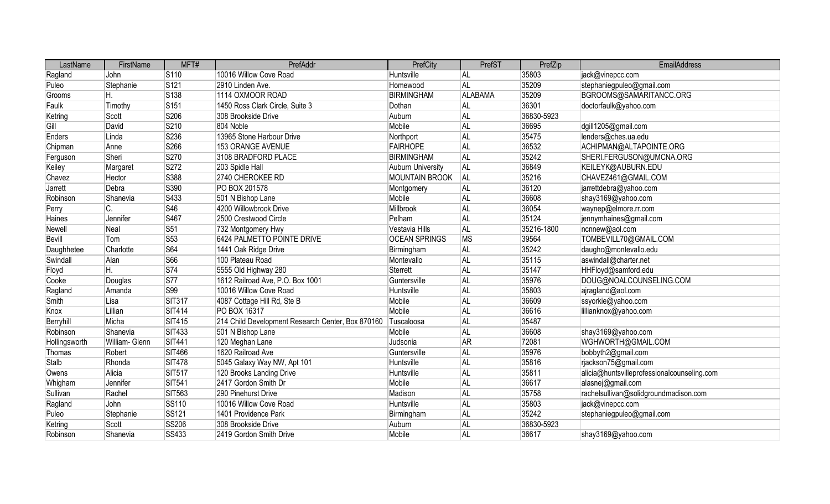| LastName      | FirstName      | MFT#             | PrefAddr                                          | PrefCity              | PrefST    | PrefZip    | EmailAddress                                |
|---------------|----------------|------------------|---------------------------------------------------|-----------------------|-----------|------------|---------------------------------------------|
| Ragland       | John           | S110             | 10016 Willow Cove Road                            | Huntsville            | AL        | 35803      | jack@vinepcc.com                            |
| Puleo         | Stephanie      | S121             | 2910 Linden Ave.                                  | Homewood              | AL        | 35209      | stephaniegpuleo@gmail.com                   |
| Grooms        | Η.             | S138             | 1114 OXMOOR ROAD                                  | <b>BIRMINGHAM</b>     | ALABAMA   | 35209      | BGROOMS@SAMARITANCC.ORG                     |
| Faulk         | Timothy        | S <sub>151</sub> | 1450 Ross Clark Circle, Suite 3                   | Dothan                | <b>AL</b> | 36301      | doctorfaulk@yahoo.com                       |
| Ketring       | Scott          | S206             | 308 Brookside Drive                               | Auburn                | AL        | 36830-5923 |                                             |
| Gill          | David          | S210             | 804 Noble                                         | Mobile                | <b>AL</b> | 36695      | dgill1205@gmail.com                         |
| Enders        | Linda          | S236             | 13965 Stone Harbour Drive                         | Northport             | <b>AL</b> | 35475      | lenders@ches.ua.edu                         |
| Chipman       | Anne           | S266             | 153 ORANGE AVENUE                                 | <b>FAIRHOPE</b>       | <b>AL</b> | 36532      | ACHIPMAN@ALTAPOINTE.ORG                     |
| Ferguson      | Sheri          | S270             | 3108 BRADFORD PLACE                               | <b>BIRMINGHAM</b>     | <b>AL</b> | 35242      | SHERI.FERGUSON@UMCNA.ORG                    |
| Keiley        | Margaret       | S272             | 203 Spidle Hall                                   | Auburn University     | AL        | 36849      | KEILEYK@AUBURN.EDU                          |
| Chavez        | Hector         | S388             | 2740 CHEROKEE RD                                  | <b>MOUNTAIN BROOK</b> | AL        | 35216      | CHAVEZ461@GMAIL.COM                         |
| Jarrett       | Debra          | S390             | PO BOX 201578                                     | Montgomery            | <b>AL</b> | 36120      | jarrettdebra@yahoo.com                      |
| Robinson      | Shanevia       | S433             | 501 N Bishop Lane                                 | Mobile                | <b>AL</b> | 36608      | shay3169@yahoo.com                          |
| Perry         | C.             | S46              | 4200 Willowbrook Drive                            | Millbrook             | AL        | 36054      | waynep@elmore.rr.com                        |
| Haines        | Jennifer       | S467             | 2500 Crestwood Circle                             | Pelham                | AL        | 35124      | jennymhaines@gmail.com                      |
| Newell        | Neal           | <b>S51</b>       | 732 Montgomery Hwy                                | Vestavia Hills        | AL        | 35216-1800 | ncnnew@aol.com                              |
| Bevill        | Tom            | S53              | 6424 PALMETTO POINTE DRIVE                        | <b>OCEAN SPRINGS</b>  | <b>MS</b> | 39564      | TOMBEVILL70@GMAIL.COM                       |
| Daughhetee    | Charlotte      | <b>S64</b>       | 1441 Oak Ridge Drive                              | Birmingham            | <b>AL</b> | 35242      | daughc@montevallo.edu                       |
| Swindall      | Alan           | S66              | 100 Plateau Road                                  | Montevallo            | AL        | 35115      | aswindall@charter.net                       |
| Floyd         | Н.             | <b>S74</b>       | 5555 Old Highway 280                              | Sterrett              | AL        | 35147      | HHFloyd@samford.edu                         |
| Cooke         | Douglas        | <b>S77</b>       | 1612 Railroad Ave, P.O. Box 1001                  | Guntersville          | <b>AL</b> | 35976      | DOUG@NOALCOUNSELING.COM                     |
| Ragland       | Amanda         | S99              | 10016 Willow Cove Road                            | Huntsville            | <b>AL</b> | 35803      | ajragland@aol.com                           |
| Smith         | Lisa           | <b>SIT317</b>    | 4087 Cottage Hill Rd, Ste B                       | Mobile                | <b>AL</b> | 36609      | ssyorkie@yahoo.com                          |
| Knox          | Lillian        | <b>SIT414</b>    | PO BOX 16317                                      | Mobile                | <b>AL</b> | 36616      | lillianknox@yahoo.com                       |
| Berryhill     | Micha          | <b>SIT415</b>    | 214 Child Development Research Center, Box 870160 | Tuscaloosa            | <b>AL</b> | 35487      |                                             |
| Robinson      | Shanevia       | <b>SIT433</b>    | 501 N Bishop Lane                                 | Mobile                | <b>AL</b> | 36608      | shay3169@yahoo.com                          |
| Hollingsworth | William- Glenn | <b>SIT441</b>    | 120 Meghan Lane                                   | Judsonia              | <b>AR</b> | 72081      | WGHWORTH@GMAIL.COM                          |
| Thomas        | Robert         | <b>SIT466</b>    | 1620 Railroad Ave                                 | Guntersville          | AL        | 35976      | bobbyth2@gmail.com                          |
| <b>Stalb</b>  | Rhonda         | <b>SIT478</b>    | 5045 Galaxy Way NW, Apt 101                       | Huntsville            | <b>AL</b> | 35816      | rjackson75@gmail.com                        |
| Owens         | Alicia         | <b>SIT517</b>    | 120 Brooks Landing Drive                          | Huntsville            | <b>AL</b> | 35811      | alicia@huntsvilleprofessionalcounseling.com |
| Whigham       | Jennifer       | <b>SIT541</b>    | 2417 Gordon Smith Dr                              | Mobile                | <b>AL</b> | 36617      | alasnej@gmail.com                           |
| Sullivan      | Rachel         | <b>SIT563</b>    | 290 Pinehurst Drive                               | Madison               | AL        | 35758      | rachelsullivan@solidgroundmadison.com       |
| Ragland       | John           | <b>SS110</b>     | 10016 Willow Cove Road                            | Huntsville            | <b>AL</b> | 35803      | jack@vinepcc.com                            |
| Puleo         | Stephanie      | <b>SS121</b>     | 1401 Providence Park                              | Birmingham            | AL        | 35242      | stephaniegpuleo@gmail.com                   |
| Ketring       | Scott          | <b>SS206</b>     | 308 Brookside Drive                               | Auburn                | AL        | 36830-5923 |                                             |
| Robinson      | Shanevia       | <b>SS433</b>     | 2419 Gordon Smith Drive                           | Mobile                | AL        | 36617      | shay3169@yahoo.com                          |